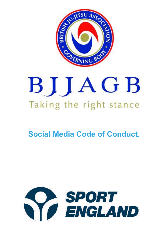

# BIJAGB Taking the right stance

# **Social Media Code of Conduct.**

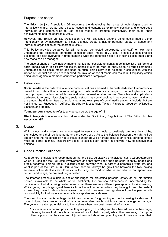#### 1. Purpose and scope

The British Ju jitsu Association GB recognise the developing the range of technologies used to interactively share, create and discuss issues and content as extremely positive and encourages individuals and communities to use social media to promote themselves, their clubs, their achievements and the sport of Ju Jitsu.

However, The British Ju jitsu Association GB will challenge anyone using social media either intentionally or by association to insult, slander, create a risk to personal safety or abuse any individual, organisation or the sport of Ju Jitsu.

This Policy provides guidance for all members, connected participants and staff to help them understand the acceptable standards of use of social media in Ju Jitsu. It sets out best practice designed to assist everyone in understanding what the potential risks are in using social media and how these can be managed.

The pace of change in technology means that it is not possible to identify a definitive list of all forms of social media which this Policy applies to, hence it is to be read as applying to all forms commonly understood to be social media and used as such. This Policy is to be read in conjunction with the Codes of Conduct and you are reminded that misuse of social media can result in Disciplinary Action being taken against a member, connected participant or employee.

#### 2. Definitions

**Social media** is the collective of online communications and media channels dedicated to communitybased input, interaction, content-sharing and collaboration via a range of technologies such as desktop, laptop, tablets, smartphones and other internet enable devices. Websites and applications dedicated to [forums,](http://whatis.techtarget.com/definition/discussion-board-discussion-group-message-board-online-forum) [micro blogging](http://searchmobilecomputing.techtarget.com/definition/microblogging), [social networking](http://whatis.techtarget.com/definition/social-networking), [social bookmarking,](http://whatis.techtarget.com/definition/social-bookmarking) [social curation,](http://whatis.techtarget.com/definition/social-curation) and [wikis](http://searchsoa.techtarget.com/definition/wiki) are among the different types of social media and examples of social media platforms include, but are not limited to, Facebook, YouTube, Blackberry Messenger, Twitter, Pinterest, Google+, Wikipedia, LinkedIn and Reddit.

**Young person** is used to refer to any person below the age of 18.

**Disciplinary Action** means action taken under the Disciplinary Regulations of The British Ju jitsu Association GB.

#### 3. Usage

Whilst clubs and students are encouraged to use social media to positively promote their clubs, themselves and their achievements and the sport of Ju Jitsu, the balance between the right to free speech and the responsibility not to insult, slander, abuse or create risks to anyone's personal safety must be borne in mind. This Policy seeks to assist each person in knowing how to achieve that balance.

#### 4. Good Practice Guidance

As a general principle it is recommended that the club, Ju JitsuKa or individual has a webpage/profile which is used for their Ju Jitsu involvement and that they keep their personal identity, pages and profile separate. This will help in distinguishing between what is part of a person's private life, and what is part of their life in Ju Jitsu. Whilst there will always be grey lines between the two, having separate online identities should assist in focusing the mind on what is and what is not appropriate content and usage, before anything is posted.

The internet presents a unique set of challenges for protecting personal safety as all information posted is available to the whole world, indefinitely. Generational differences in understanding the implications of what is being posted means that there are very different perceptions of risk operating. Whilst young people get great benefits from the online communities they belong to and the instant access they have to friends from across the world, they may need guidance from the people with responsibility for their safety as to what is acceptable and safe use.

The use of social media to target individuals, whether for grooming or the increasing incidences of cyber bullying, has created a set of risks to vulnerable people which is a real challenge to manage. Everyone is creating potential risk to themselves when they post personal information.

*For example*, if a person posts that they are going on holiday and has their address on their page, it is easy to see that there is an increased risk to their property whilst they are away. If a top Ju JitsuKa posts that they are tired, injured, worried about an upcoming event, they are giving their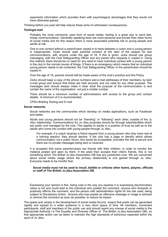opponents information which provides them with psychological advantages that they would not have otherwise gained.

Thinking before you post will help reduce these sorts of unforeseen consequences.

#### **Texting/e-mail**

Probably the most commonly used form of social media, texting is a great way to send fast, cheap communications. Generally speaking texts are more personal and private than other forms of social media and for this reason there is more associated potential risk to young people and adults at risk.

One to one contact without a parent/carer copied in to texts between a coach and a young person is inappropriate. Clubs should seek parental consent at the start of the season for text communications, with anyone under the age of 18. If this is given, clubs should use group messaging, with the Club Safeguarding Officer and any parent who requests it, copied in. Using this method, there should be no need for any adult to have individual contact with a young person in the club in the normal course of things. If there is an emergency which means that an individual young person needs to be contacted, the Club Safeguarding Officer or the parent/carer should be copied in.

Over the age of 18, parents should still be made aware of the club's practice and this Policy.

Clubs should keep a copy of the phone numbers and e-mail addresses of their members, by text/ e-mail group and ensure that these are held securely and not used for any other purpose. The messages sent should always make it clear what the purpose of the communication is and contain the name of the organisation, not just a mobile number.

There should be a minimum number of administrators with access to the group and contact details. A minimum of 2 is recommended.

CPSU Briefing Texting and E-mail

#### **Social networks**

Social networks are the communities which develop on media applications, such as Facebook and twitter.

Adults and young persons should not be "friending" or "following" each other, outside of the Ju Jitsu relationship. Communications for Ju Jitsu purposes should be through sites/identities which are public and managed by the club. This applies to adults in a position of trust as well as to the adults who come into contact with young people through Ju Jitsu.

*For example*, if a coach receives a friend request from a young person who they have met at a training session, they should decline. If the club has a page or identify which allows communication via a public forum, this would be acceptable, provided the site is secure and there are no private messages being sent or received.

It is accepted that some parents/carers are friends with their children, in order to monitor the material posted and seen by them. If the adult then accepts their child's friends, this is not something which The British Ju jitsu Association GB has any jurisdiction over. We are concerned about social media usage where the primary relationship is one gained through Ju Jitsu. Everyone needs to be mindful that:

#### **Social media must not be used to insult, belittle or criticise other teams, players, officials or staff of The British Ju jitsu Association GB.**

Expressing your opinion is fine, being rude in the *way* you express it or expressing discriminatory views is not and could lead to the individual who posted the comment, anyone who forwards or positively affirms the comment, and the person with administration rights for the site used, being subject to Disciplinary Action. Anyone who has posted an offensive message or image is advised to remove the comment as soon as possible, to reduce its impact.

The speed and variety in the development of social media forums, means that posts can be generated rapidly and spread to a wider audience in a very short space of time. All members, connected participants, staff and members of the public can and should report any misuse of social media to the Appropriate Authority i.e The Equality and Diversity Officer of The British Ju jitsu Association GB), so that appropriate action can be taken to maintain the high standards of behaviour expected within the sport of Ju Jitsu.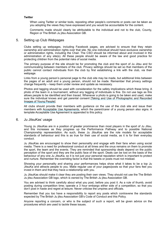#### **Twitter**

When using Twitter or similar tools, reposting other people's comments or posts can be taken as you adopting the views they have expressed and you would be accountable for the content.

Comments made should clearly be attributable to the individual and not to the club, County, Region or The British Ju jitsu Association GB.

#### 5. Setting up Club Webpages

Clubs setting up webpages, including Facebook pages, are advised to ensure that they retain ownership and administration rights over that site. No one individual should have exclusive ownership or administration rights, including the Chair. The CSO should be informed about and involved in the administration of any site(s). All these people should be aware of the law and good practice for protecting children from the potential risks of social media.

The primary purpose of the site should be for promoting the club and the sport of Ju Jitsu and for communicating between members of the club. Privacy settings should be set so that members of the public cannot contact individuals from the club by first establishing a link with the club, via their webpage.

Links from a young person's personal page to the club site may be made, but additional links between the pages of an adult and a young person, should not be made. Remember that privacy settings change frequently – keep them under review and update as necessary.

Photos and tagging should be used with consideration for the safety implications which these bring. A photo of the team in a tournament, without any tagging of individuals is fine. Do not use tags as this allows people to be identified and then traced. Whenever a photo is going to be taken and used, make sure the individual knows and get parental consent [Taking and Use of Photographic and Recorded Images of Young People].

All clubs should provide their members with guidance on the use of the club site and issue their members with Acceptable Use Agreements, which the parent/carer of a young person also signs. A template Acceptable Use Agreement is appended to this policy.

#### 6. Ju JitsuKas' usage

Young Ju JitsuKas are in a position of greater prominence than most players in the sport of Ju Jitsu, and this increases as they progress up the Performance Pathway and to possible National Championship representation. As such, these Ju JitsuKas are the role models for acceptable standards of behaviour and this is as true for their use of social media, as it is for their everyday conduct.

Ju JitsuKas are encouraged to show their personality and engage with their fans when using social media. There is a need for professional conduct at all times and the onus remains on them to promote the sport, the team and the events. They are reminded that sponsorship deals depend on the public perception of the sport and they are the public face of the sport. Deals can be lost on the basis of the behaviour of any one Ju JitsuKa, so it is not just your personal reputation which is important to protect and nurture. Remember the overriding factor is that the tweets or posts must not mislead.

Showing your personality and sharing your performances helps show what it takes to be a top Ju JitsuKa and attracts people to you. Make regular use of your pages/posts so that your fans feel you invest in them and that they have a relationship with you.

Ju JitsuKas should make it clear they are posting their own views. They should not use the The British Ju jitsu Association GB logo, which is owned by The British Ju jitsu Association GB.

You are advised to think carefully about what you post, before you post it. As a rule of thumb, avoid posting during competition time; operate a 3 hour embargo either side of a competition, so that you don't post in haste and regret at leisure. Never criticise the umpires and officials.

Remember that you too have a responsibility to report any posts which contravene the standards expected by The British Ju jitsu Association GB's Code of Conduct and this Policy.

Anyone reporting a concern, or who is the subject of such a report, will be given advice on the procedures which are used to tackle these issues.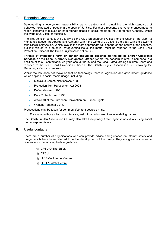#### 7. Reporting Concerns

Safeguarding is everyone's responsibility, as is creating and maintaining the high standards of behaviour expected of people in the sport of Ju Jitsu. For these reasons, everyone is encouraged to report concerns of misuse or inappropriate usage of social media to the Appropriate Authority, within the world of Ju Jitsu, or outside it.

The first point of contact will usually be the Club Safeguarding Officer, or the Chair of the club. As mentioned above, the Appropriate Authority within the world of Ju Jitsu is the body with the power to take Disciplinary Action. Which level is the most appropriate will depend on the nature of the concern, but if it relates to a potential safeguarding issue, the matter must be reported to the Lead Child Protection Officer at The British Ju jitsu Association GB.

**Threats of immediate harm or danger should be reported to the police and/or Children's Services or the Local Authority Designated Officer** (where the concern relates to someone in a position of trust), contactable via your local authority and the Local Safeguarding Children Board and reported to the Lead Child Protection Officer at The British Ju jitsu Association GB, following the Reporting a Concern process.

Whilst the law does not move as fast as technology, there is legislation and government guidance which applies to social media usage, including:-

- **Malicious Communications Act 1988**
- Protection from Harassment Act 2003
- Defamation Act 1996
- Data Protection Act 1998
- Article 10 of the European Convention on Human Rights
- Working Together 2013.

Prosecutions may be taken for comments/content posted on line.

*For example* those which are offensive, insight hatred or are of an intimidating nature.

The British Ju jitsu Association GB may also take Disciplinary Action against individuals using social media inappropriately.

#### 8. Useful contacts

There are a number of organisations who can provide advice and guidance on internet safety and usage, which have been referred to in the development of this policy. They are great resources to reference for the most up to date guidance.

- *M* [CPSU Online Safety](https://thecpsu.org.uk/help-advice/topics/online-safety)
- **俞 [CPSU](https://thecpsu.org.uk/Search?term=online)**
- **& [UK Safer Internet Centre](http://www.saferinternet.org.uk/)**
- **& [CEOP Safety Centre](http://www.ceop.police.uk/safety-centre)**